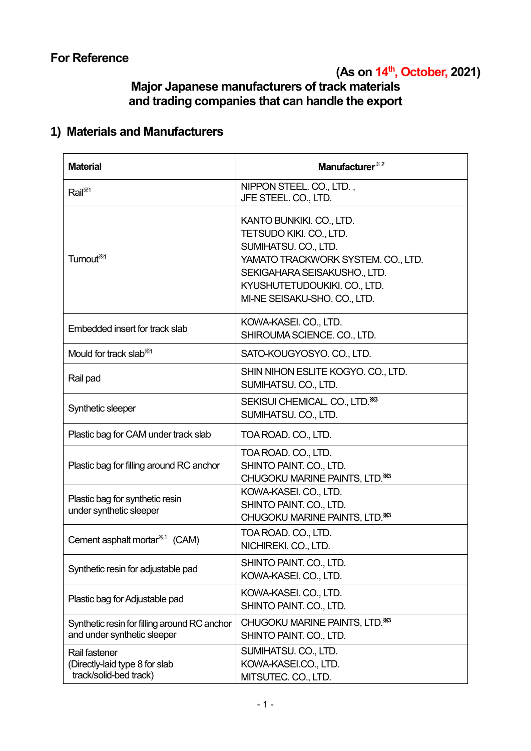# **(As on 14 th , October, 2021)**

# **Major Japanese manufacturers of track materials and trading companies that can handle the export**

# **1) Materials and Manufacturers**

| <b>Material</b>                                                             | Manufacturer <sup>*2</sup>                                                                                                                                                                                        |
|-----------------------------------------------------------------------------|-------------------------------------------------------------------------------------------------------------------------------------------------------------------------------------------------------------------|
| Rail <sup>*/1</sup>                                                         | NIPPON STEEL. CO., LTD.,<br>JFE STEEL. CO., LTD.                                                                                                                                                                  |
| Turnout <sup>361</sup>                                                      | KANTO BUNKIKI. CO., LTD.<br>TETSUDO KIKI. CO., LTD.<br>SUMIHATSU. CO., LTD.<br>YAMATO TRACKWORK SYSTEM. CO., LTD.<br>SEKIGAHARA SEISAKUSHO., LTD.<br>KYUSHUTETUDOUKIKI. CO., LTD.<br>MI-NE SEISAKU-SHO. CO., LTD. |
| Embedded insert for track slab                                              | KOWA-KASEI. CO., LTD.<br>SHIROUMA SCIENCE. CO., LTD.                                                                                                                                                              |
| Mould for track slab <sup>361</sup>                                         | SATO-KOUGYOSYO. CO., LTD.                                                                                                                                                                                         |
| Rail pad                                                                    | SHIN NIHON ESLITE KOGYO. CO., LTD.<br>SUMIHATSU. CO., LTD.                                                                                                                                                        |
| Synthetic sleeper                                                           | SEKISUI CHEMICAL. CO., LTD. <sup>363</sup><br>SUMIHATSU. CO., LTD.                                                                                                                                                |
| Plastic bag for CAM under track slab                                        | TOA ROAD. CO., LTD.                                                                                                                                                                                               |
| Plastic bag for filling around RC anchor                                    | TOA ROAD. CO., LTD.<br>SHINTO PAINT. CO., LTD.<br>CHUGOKU MARINE PAINTS, LTD. <sup>363</sup>                                                                                                                      |
| Plastic bag for synthetic resin<br>under synthetic sleeper                  | KOWA-KASEI. CO., LTD.<br>SHINTO PAINT. CO., LTD.<br>CHUGOKU MARINE PAINTS, LTD. **                                                                                                                                |
| Cement asphalt mortar <sup>**1</sup> (CAM)                                  | TOA ROAD. CO., LTD.<br>NICHIREKI. CO., LTD.                                                                                                                                                                       |
| Synthetic resin for adjustable pad                                          | SHINTO PAINT. CO., LTD.<br>KOWA-KASEI. CO., LTD.                                                                                                                                                                  |
| Plastic bag for Adjustable pad                                              | KOWA-KASEI. CO., LTD.<br>SHINTO PAINT. CO., LTD.                                                                                                                                                                  |
| Synthetic resin for filling around RC anchor<br>and under synthetic sleeper | CHUGOKU MARINE PAINTS, LTD. **<br>SHINTO PAINT. CO., LTD.                                                                                                                                                         |
| Rail fastener<br>(Directly-laid type 8 for slab<br>track/solid-bed track)   | SUMIHATSU. CO., LTD.<br>KOWA-KASEI.CO., LTD.<br>MITSUTEC. CO., LTD.                                                                                                                                               |